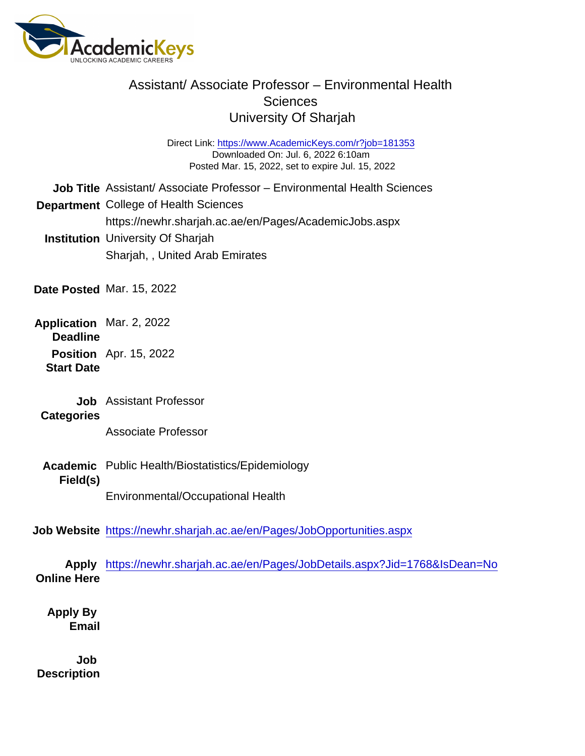Direct Link: <https://www.AcademicKeys.com/r?job=181353> Downloaded On: Jul. 6, 2022 6:10am Posted Mar. 15, 2022, set to expire Jul. 15, 2022

Job Title Assistant/ Associate Professor – Environmental Health Sciences

Department College of Health Sciences

https://newhr.sharjah.ac.ae/en/Pages/AcademicJobs.aspx

Institution University Of Sharjah Sharjah, , United Arab Emirates

- Date Posted Mar. 15, 2022
- Application **Deadline** Mar. 2, 2022
	- Position Apr. 15, 2022 Start Date
		- Job Assistant Professor
	- **Categories**

Associate Professor

Academic Field(s) Public Health/Biostatistics/Epidemiology

Environmental/Occupational Health

Job Website <https://newhr.sharjah.ac.ae/en/Pages/JobOpportunities.aspx>

Apply Online Here <https://newhr.sharjah.ac.ae/en/Pages/JobDetails.aspx?Jid=1768&IsDean=No>

Apply By Email

Job **Description**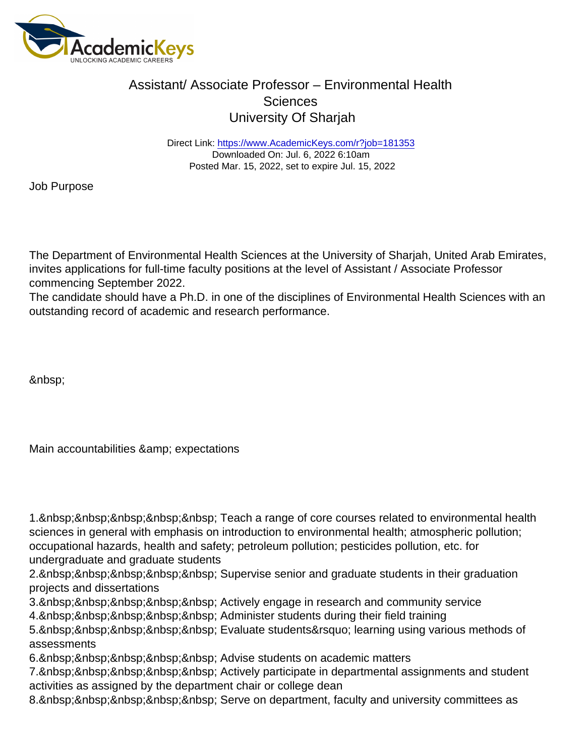Direct Link: <https://www.AcademicKeys.com/r?job=181353> Downloaded On: Jul. 6, 2022 6:10am Posted Mar. 15, 2022, set to expire Jul. 15, 2022

Job Purpose

The Department of Environmental Health Sciences at the University of Sharjah, United Arab Emirates, invites applications for full-time faculty positions at the level of Assistant / Associate Professor commencing September 2022.

The candidate should have a Ph.D. in one of the disciplines of Environmental Health Sciences with an outstanding record of academic and research performance.

&nbsp:

Main accountabilities & amp; expectations

1. & hbsp; & nbsp; & nbsp; & nbsp; & nbsp; Teach a range of core courses related to environmental health sciences in general with emphasis on introduction to environmental health; atmospheric pollution; occupational hazards, health and safety; petroleum pollution; pesticides pollution, etc. for undergraduate and graduate students

2. & nbsp: & nbsp: & nbsp: & nbsp: & nbsp: Supervise senior and graduate students in their graduation projects and dissertations

- 3. & nbsp; & nbsp; & nbsp; & nbsp; & nbsp; Actively engage in research and community service
- 4. & nbsp; & nbsp; & nbsp; & nbsp; & nbsp; Administer students during their field training

5. & nbsp; & nbsp; & nbsp; & nbsp; & nbsp; Evaluate students& rsquo; learning using various methods of assessments

6. & nbsp: & nbsp: & nbsp: & nbsp: & nbsp: Advise students on academic matters

7. & nbsp; & nbsp; & nbsp; & nbsp; & nbsp; Actively participate in departmental assignments and student activities as assigned by the department chair or college dean

8. & nbsp; & nbsp; & nbsp; & nbsp; & nbsp; Serve on department, faculty and university committees as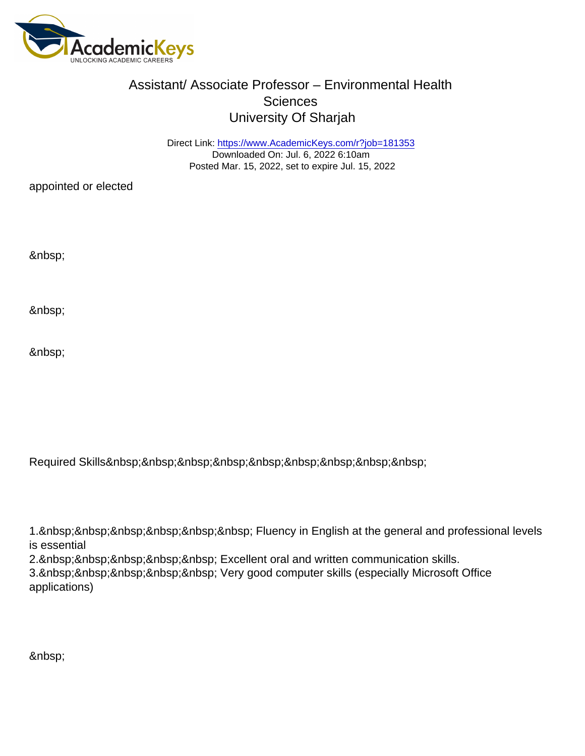Direct Link: <https://www.AcademicKeys.com/r?job=181353> Downloaded On: Jul. 6, 2022 6:10am Posted Mar. 15, 2022, set to expire Jul. 15, 2022

appointed or elected

Required Skills

1. & nbsp; & nbsp; & nbsp; & nbsp; & nbsp; & nbsp; Fluency in English at the general and professional levels is essential

2. & nbsp; & nbsp; & nbsp; & nbsp; & nbsp; Excellent oral and written communication skills.

3. Very good computer skills (especially Microsoft Office applications)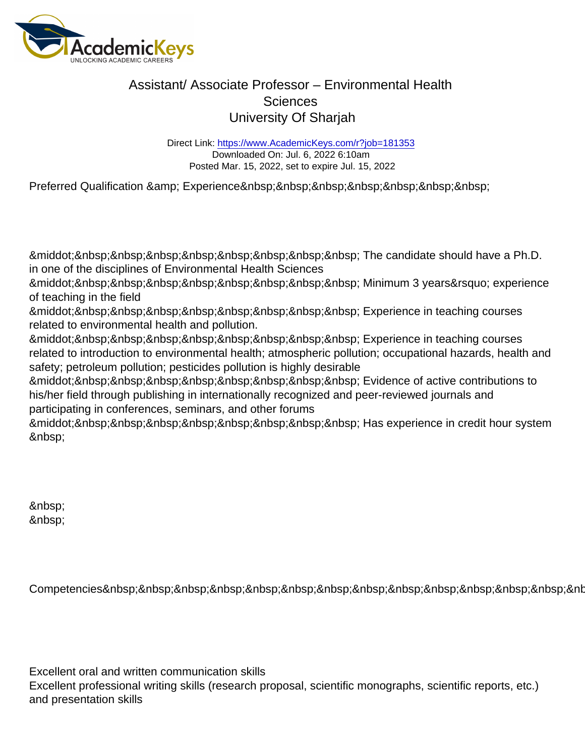Direct Link: <https://www.AcademicKeys.com/r?job=181353> Downloaded On: Jul. 6, 2022 6:10am Posted Mar. 15, 2022, set to expire Jul. 15, 2022

Preferred Qualification & amp; Experience & hpsp;

· The candidate should have a Ph.D. in one of the disciplines of Environmental Health Sciences

· Minimum 3 years' experience of teaching in the field

· Experience in teaching courses related to environmental health and pollution.

· Experience in teaching courses related to introduction to environmental health; atmospheric pollution; occupational hazards, health and safety; petroleum pollution; pesticides pollution is highly desirable

&middot: Evidence of active contributions to his/her field through publishing in internationally recognized and peer-reviewed journals and participating in conferences, seminars, and other forums

&middot:&nbsp:&nbsp:&nbsp:&nbsp:&nbsp:&nbsp:&nbsp:&nbsp: Has experience in credit hour system 

&nbsp: 

Competencies &nb

Excellent oral and written communication skills

Excellent professional writing skills (research proposal, scientific monographs, scientific reports, etc.) and presentation skills